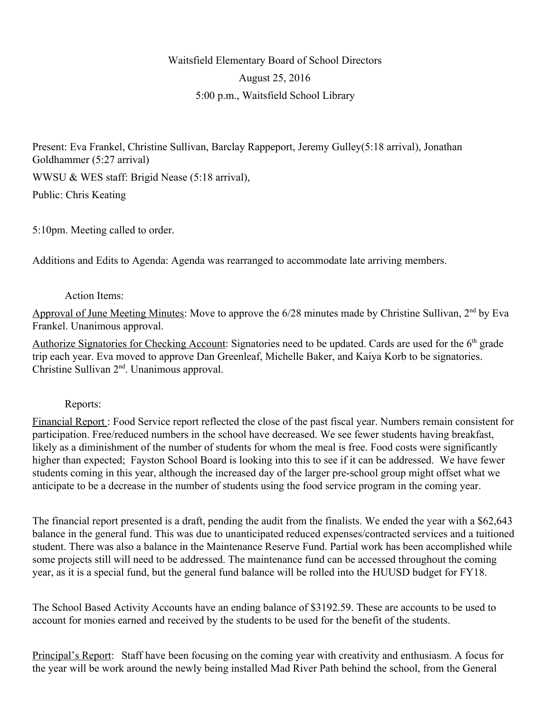# Waitsfield Elementary Board of School Directors August 25, 2016 5:00 p.m., Waitsfield School Library

Present: Eva Frankel, Christine Sullivan, Barclay Rappeport, Jeremy Gulley(5:18 arrival), Jonathan Goldhammer (5:27 arrival) WWSU & WES staff: Brigid Nease (5:18 arrival),

Public: Chris Keating

5:10pm. Meeting called to order.

Additions and Edits to Agenda: Agenda was rearranged to accommodate late arriving members.

## Action Items:

Approval of June Meeting Minutes: Move to approve the 6/28 minutes made by Christine Sullivan, 2<sup>nd</sup> by Eva Frankel. Unanimous approval.

Authorize Signatories for Checking Account: Signatories need to be updated. Cards are used for the 6<sup>th</sup> grade trip each year. Eva moved to approve Dan Greenleaf, Michelle Baker, and Kaiya Korb to be signatories. Christine Sullivan 2nd. Unanimous approval.

## Reports:

Financial Report : Food Service report reflected the close of the past fiscal year. Numbers remain consistent for participation. Free/reduced numbers in the school have decreased. We see fewer students having breakfast, likely as a diminishment of the number of students for whom the meal is free. Food costs were significantly higher than expected; Fayston School Board is looking into this to see if it can be addressed. We have fewer students coming in this year, although the increased day of the larger pre-school group might offset what we anticipate to be a decrease in the number of students using the food service program in the coming year.

The financial report presented is a draft, pending the audit from the finalists. We ended the year with a \$62,643 balance in the general fund. This was due to unanticipated reduced expenses/contracted services and a tuitioned student. There was also a balance in the Maintenance Reserve Fund. Partial work has been accomplished while some projects still will need to be addressed. The maintenance fund can be accessed throughout the coming year, as it is a special fund, but the general fund balance will be rolled into the HUUSD budget for FY18.

The School Based Activity Accounts have an ending balance of \$3192.59. These are accounts to be used to account for monies earned and received by the students to be used for the benefit of the students.

Principal's Report: Staff have been focusing on the coming year with creativity and enthusiasm. A focus for the year will be work around the newly being installed Mad River Path behind the school, from the General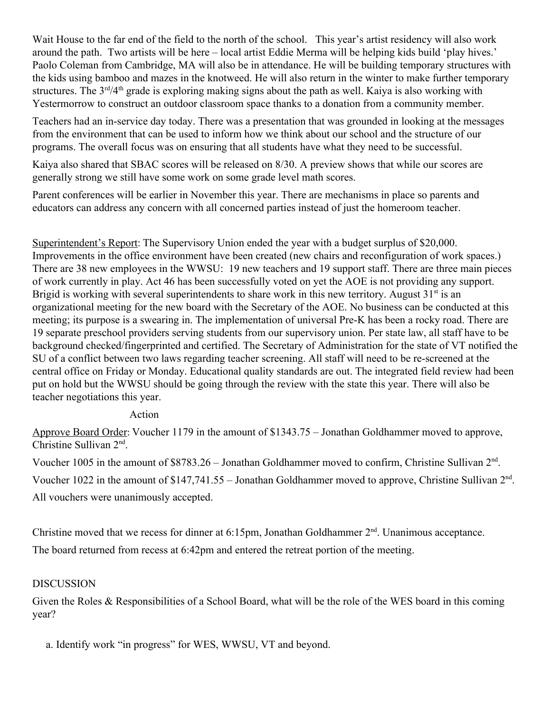Wait House to the far end of the field to the north of the school. This year's artist residency will also work around the path. Two artists will be here – local artist Eddie Merma will be helping kids build 'play hives.' Paolo Coleman from Cambridge, MA will also be in attendance. He will be building temporary structures with the kids using bamboo and mazes in the knotweed. He will also return in the winter to make further temporary structures. The  $3<sup>rd</sup>/4<sup>th</sup>$  grade is exploring making signs about the path as well. Kaiya is also working with Yestermorrow to construct an outdoor classroom space thanks to a donation from a community member.

Teachers had an in-service day today. There was a presentation that was grounded in looking at the messages from the environment that can be used to inform how we think about our school and the structure of our programs. The overall focus was on ensuring that all students have what they need to be successful.

Kaiya also shared that SBAC scores will be released on 8/30. A preview shows that while our scores are generally strong we still have some work on some grade level math scores.

Parent conferences will be earlier in November this year. There are mechanisms in place so parents and educators can address any concern with all concerned parties instead of just the homeroom teacher.

Superintendent's Report: The Supervisory Union ended the year with a budget surplus of \$20,000. Improvements in the office environment have been created (new chairs and reconfiguration of work spaces.) There are 38 new employees in the WWSU: 19 new teachers and 19 support staff. There are three main pieces of work currently in play. Act 46 has been successfully voted on yet the AOE is not providing any support. Brigid is working with several superintendents to share work in this new territory. August  $31<sup>st</sup>$  is an organizational meeting for the new board with the Secretary of the AOE. No business can be conducted at this meeting; its purpose is a swearing in. The implementation of universal Pre-K has been a rocky road. There are 19 separate preschool providers serving students from our supervisory union. Per state law, all staff have to be background checked/fingerprinted and certified. The Secretary of Administration for the state of VT notified the SU of a conflict between two laws regarding teacher screening. All staff will need to be re-screened at the central office on Friday or Monday. Educational quality standards are out. The integrated field review had been put on hold but the WWSU should be going through the review with the state this year. There will also be teacher negotiations this year.

### Action

Approve Board Order: Voucher 1179 in the amount of \$1343.75 – Jonathan Goldhammer moved to approve, Christine Sullivan 2<sup>nd</sup>.

Voucher 1005 in the amount of \$8783.26 – Jonathan Goldhammer moved to confirm, Christine Sullivan 2<sup>nd</sup>.

Voucher 1022 in the amount of  $$147,741.55 - Jonathan Goldhammer$  moved to approve, Christine Sullivan  $2<sup>nd</sup>$ .

All vouchers were unanimously accepted.

Christine moved that we recess for dinner at 6:15pm, Jonathan Goldhammer  $2<sup>nd</sup>$ . Unanimous acceptance. The board returned from recess at 6:42pm and entered the retreat portion of the meeting.

## DISCUSSION

Given the Roles & Responsibilities of a School Board, what will be the role of the WES board in this coming year?

a. Identify work "in progress" for WES, WWSU, VT and beyond.